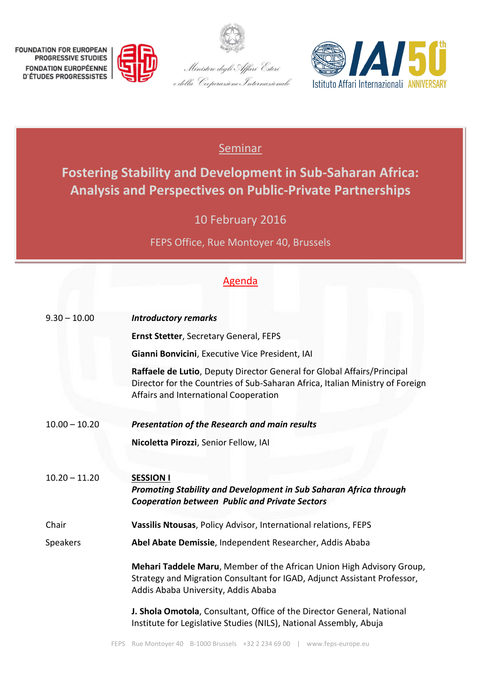







## **Seminar**

**Fostering Stability and Development in Sub-Saharan Africa: Analysis and Perspectives on Public-Private Partnerships**

10 February 2016

FEPS Office, Rue Montoyer 40, Brussels

## Agenda

| $9.30 - 10.00$  | <b>Introductory remarks</b>                                                                                                                                                                       |
|-----------------|---------------------------------------------------------------------------------------------------------------------------------------------------------------------------------------------------|
|                 | <b>Ernst Stetter, Secretary General, FEPS</b>                                                                                                                                                     |
|                 | Gianni Bonvicini, Executive Vice President, IAI                                                                                                                                                   |
|                 | Raffaele de Lutio, Deputy Director General for Global Affairs/Principal<br>Director for the Countries of Sub-Saharan Africa, Italian Ministry of Foreign<br>Affairs and International Cooperation |
| $10.00 - 10.20$ | <b>Presentation of the Research and main results</b>                                                                                                                                              |
|                 | Nicoletta Pirozzi, Senior Fellow, IAI                                                                                                                                                             |
| $10.20 - 11.20$ | <b>SESSION I</b><br>Promoting Stability and Development in Sub Saharan Africa through<br><b>Cooperation between Public and Private Sectors</b>                                                    |
| Chair           | Vassilis Ntousas, Policy Advisor, International relations, FEPS                                                                                                                                   |
| <b>Speakers</b> | Abel Abate Demissie, Independent Researcher, Addis Ababa                                                                                                                                          |
|                 | Mehari Taddele Maru, Member of the African Union High Advisory Group,<br>Strategy and Migration Consultant for IGAD, Adjunct Assistant Professor,<br>Addis Ababa University, Addis Ababa          |
|                 | J. Shola Omotola, Consultant, Office of the Director General, National<br>Institute for Legislative Studies (NILS), National Assembly, Abuja                                                      |